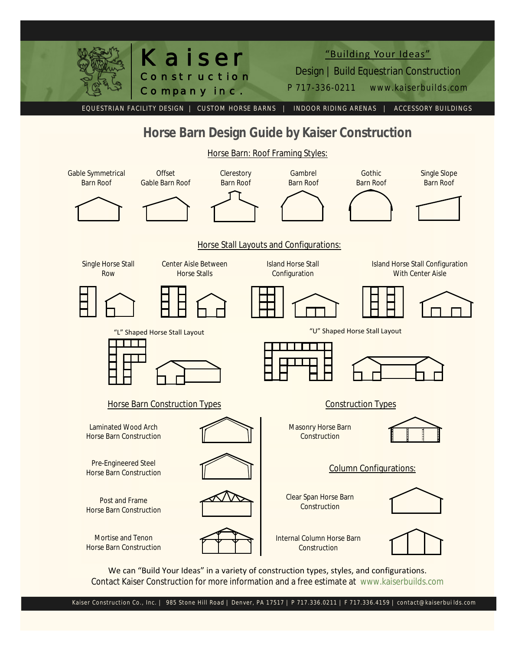

We can "Build Your Ideas" in a variety of construction types, styles, and configurations. Contact Kaiser Construction for more information and a free estimate at www.kaiserbuilds.com